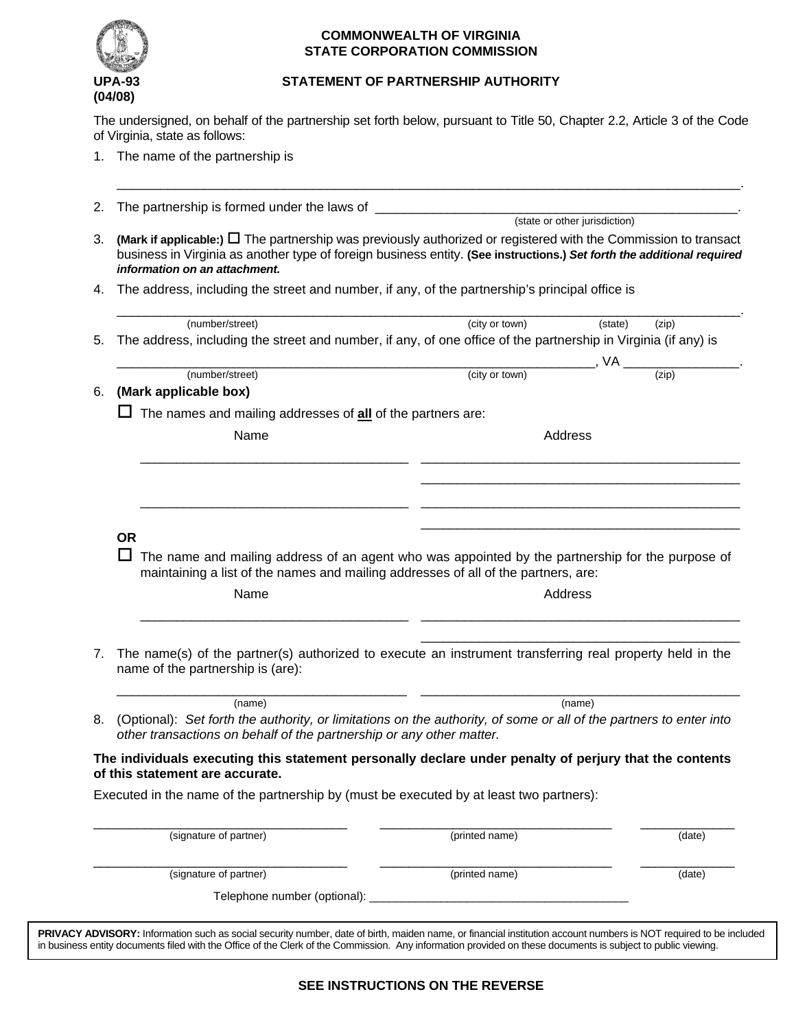

## **COMMONWEALTH OF VIRGINIA STATE CORPORATION COMMISSION**

## **UPA-93 STATEMENT OF PARTNERSHIP AUTHORITY**

The undersigned, on behalf of the partnership set forth below, pursuant to Title 50, Chapter 2.2, Article 3 of the Code of Virginia, state as follows:

1. The name of the partnership is

| 2. | The partnership is formed under the laws of _                                                                                                                                                                                                                                   |                |                               |                             |
|----|---------------------------------------------------------------------------------------------------------------------------------------------------------------------------------------------------------------------------------------------------------------------------------|----------------|-------------------------------|-----------------------------|
|    |                                                                                                                                                                                                                                                                                 |                | (state or other jurisdiction) |                             |
| З. | (Mark if applicable:) $\Box$ The partnership was previously authorized or registered with the Commission to transact<br>business in Virginia as another type of foreign business entity. (See instructions.) Set forth the additional required<br>information on an attachment. |                |                               |                             |
| 4. | The address, including the street and number, if any, of the partnership's principal office is                                                                                                                                                                                  |                |                               |                             |
|    | (number/street)                                                                                                                                                                                                                                                                 | (city or town) | (state)                       | (zip)                       |
| 5. | The address, including the street and number, if any, of one office of the partnership in Virginia (if any) is                                                                                                                                                                  |                |                               |                             |
| 6. | (number/street)<br>(Mark applicable box)                                                                                                                                                                                                                                        | (city or town) |                               | $\overline{(\mathsf{zip})}$ |
|    | The names and mailing addresses of all of the partners are:                                                                                                                                                                                                                     |                |                               |                             |
|    | Name                                                                                                                                                                                                                                                                            |                | Address                       |                             |
|    |                                                                                                                                                                                                                                                                                 |                |                               |                             |
|    |                                                                                                                                                                                                                                                                                 |                |                               |                             |
|    |                                                                                                                                                                                                                                                                                 |                |                               |                             |
|    |                                                                                                                                                                                                                                                                                 |                |                               |                             |
|    | <b>OR</b><br>The name and mailing address of an agent who was appointed by the partnership for the purpose of                                                                                                                                                                   |                |                               |                             |
|    | maintaining a list of the names and mailing addresses of all of the partners, are:<br>Name                                                                                                                                                                                      |                | Address                       |                             |
|    | The name(s) of the partner(s) authorized to execute an instrument transferring real property held in the<br>name of the partnership is (are):                                                                                                                                   |                |                               |                             |
| 7. |                                                                                                                                                                                                                                                                                 |                |                               |                             |
|    | (name)<br>(Optional): Set forth the authority, or limitations on the authority, of some or all of the partners to enter into<br>other transactions on behalf of the partnership or any other matter.                                                                            |                | (name)                        |                             |
|    | The individuals executing this statement personally declare under penalty of perjury that the contents                                                                                                                                                                          |                |                               |                             |
|    | of this statement are accurate.<br>Executed in the name of the partnership by (must be executed by at least two partners):                                                                                                                                                      |                |                               |                             |
| 8. | (signature of partner)                                                                                                                                                                                                                                                          | (printed name) |                               | (date)                      |
|    | (signature of partner)                                                                                                                                                                                                                                                          | (printed name) |                               | (date)                      |

**PRIVACY ADVISORY:** Information such as social security number, date of birth, maiden name, or financial institution account numbers is NOT required to be included in business entity documents filed with the Office of the Clerk of the Commission. Any information provided on these documents is subject to public viewing.